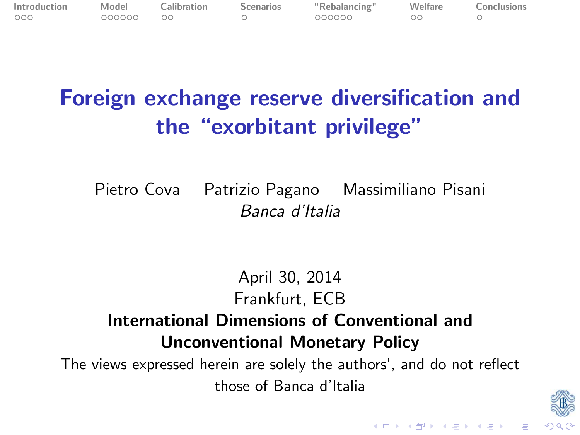Introduction 000

Calibration Model COOCOO  $\circ$ 

Scenarios  $\circ$ 

"Rebalancing" 000000

Welfare 0O

→ ロト → *同* ト → 星 ト → 星 ト → 星

Conclusions  $\bigcirc$ 

# Foreign exchange reserve diversification and the "exorbitant privilege"

Pietro Cova Patrizio Pagano Massimiliano Pisani Banca d'Italia

## April 30, 2014 Frankfurt, ECB International Dimensions of Conventional and **Unconventional Monetary Policy**

<span id="page-0-0"></span>The views expressed herein are solely the authors', and do not reflect those of Ranca d'Italia

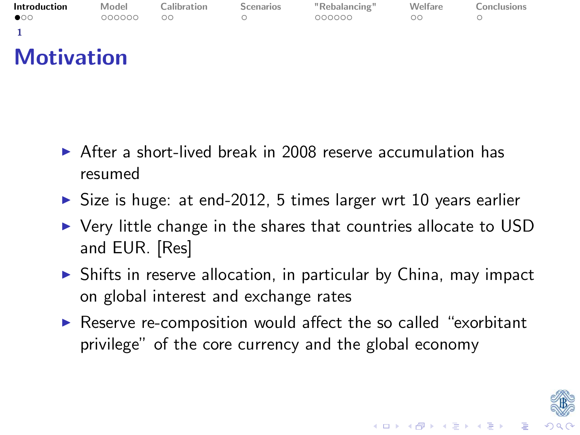| Introduction      | Model  | Calibration | <b>Scenarios</b> | "Rebalancing" | Welfare | Conclusions |
|-------------------|--------|-------------|------------------|---------------|---------|-------------|
| $\bullet$         | 000000 | ОC          |                  | 000000        | $\circ$ |             |
|                   |        |             |                  |               |         |             |
| <b>Motivation</b> |        |             |                  |               |         |             |

- $\triangleright$  After a short-lived break in 2008 reserve accumulation has resumed
- $\triangleright$  Size is huge: at end-2012, 5 times larger wrt 10 years earlier
- $\triangleright$  Very little change in the shares that countries allocate to USD and EUR. [\[Res\]](#page-31-0)
- $\triangleright$  Shifts in reserve allocation, in particular by China, may impact on global interest and exchange rates
- $\triangleright$  Reserve re-composition would affect the so called "exorbitant privilegeî of the core currency and the global economy

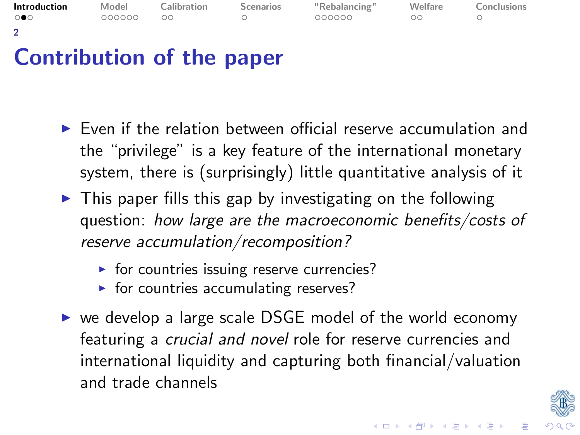| Introduction          | Model  | Calibration | Scenarios | "Rebalancing" | Welfare | Conclusions |
|-----------------------|--------|-------------|-----------|---------------|---------|-------------|
| $\circ \bullet \circ$ | 000000 | ററ          |           | 000000        | ററ      |             |
|                       |        |             |           |               |         |             |

# Contribution of the paper

- $\triangleright$  Even if the relation between official reserve accumulation and the "privilege" is a key feature of the international monetary system, there is (surprisingly) little quantitative analysis of it
- $\blacktriangleright$  This paper fills this gap by investigating on the following question: how large are the macroeconomic benefits/costs of reserve accumulation/recomposition?
	- $\triangleright$  for countries issuing reserve currencies?
	- $\triangleright$  for countries accumulating reserves?
- <span id="page-2-0"></span> $\triangleright$  we develop a large scale DSGE model of the world economy featuring a crucial and novel role for reserve currencies and international liquidity and capturing both financial/valuation and trade channels

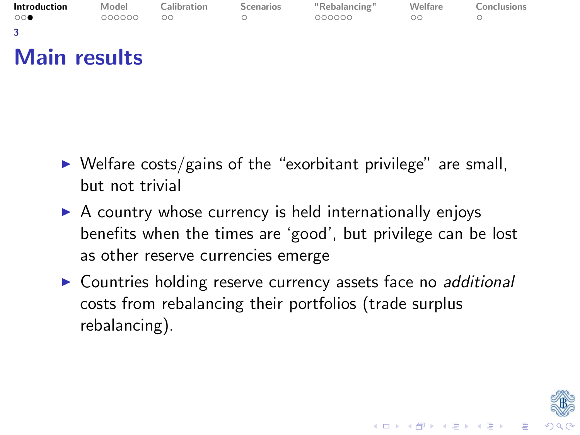| Introduction        | Model  | Calibration | <b>Scenarios</b> | "Rebalancing" | Welfare | Conclusions |
|---------------------|--------|-------------|------------------|---------------|---------|-------------|
| $\circ\circ\bullet$ | 000000 | oс          |                  | 000000        | ОC      |             |
| -3                  |        |             |                  |               |         |             |

Main results

- $\triangleright$  Welfare costs/gains of the "exorbitant privilege" are small, but not trivial
- $\triangleright$  A country whose currency is held internationally enjoys benefits when the times are 'good', but privilege can be lost as other reserve currencies emerge
- ▶ Countries holding reserve currency assets face no additional costs from rebalancing their portfolios (trade surplus rebalancing).

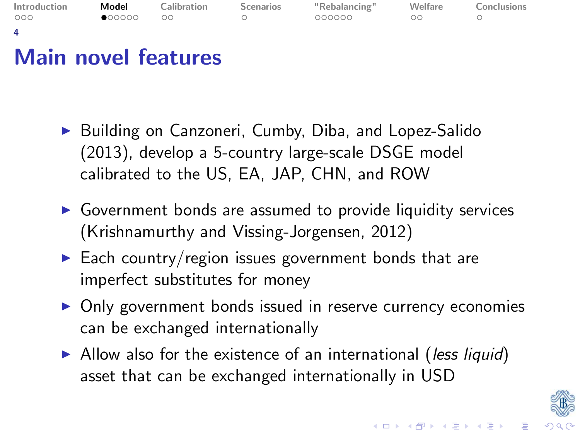| Introduction   | Model           | Calibration | <b>Scenarios</b> | "Rebalancing" | Welfare | Conclusions |
|----------------|-----------------|-------------|------------------|---------------|---------|-------------|
| 000            | $\bullet$ 00000 | ററ          |                  | 000000        | ററ      |             |
| $\overline{a}$ |                 |             |                  |               |         |             |

# Main novel features

- ▶ Building on Canzoneri, Cumby, Diba, and Lopez-Salido (2013), develop a 5-country large-scale DSGE model calibrated to the US, EA, JAP, CHN, and ROW
- $\triangleright$  Government bonds are assumed to provide liquidity services (Krishnamurthy and Vissing-Jorgensen, 2012)
- $\blacktriangleright$  Each country/region issues government bonds that are imperfect substitutes for money
- Only government bonds issued in reserve currency economies can be exchanged internationally
- <span id="page-4-0"></span> $\triangleright$  Allow also for the existence of an international (less liquid) asset that can be exchanged internationally in USD

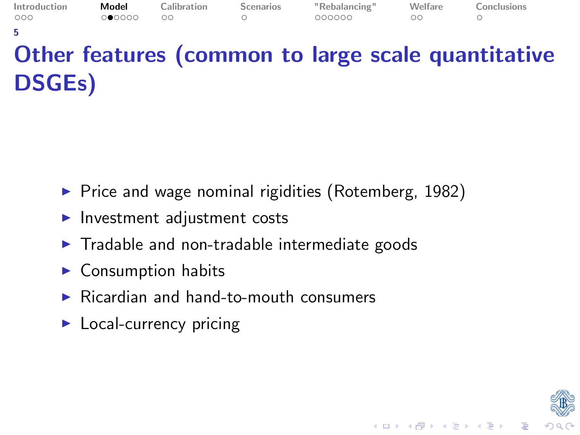| Introduction   | Model  | Calibration | Scenarios | "Rebalancing" | Welfare | Conclusions                                        |
|----------------|--------|-------------|-----------|---------------|---------|----------------------------------------------------|
| 000            | 000000 | ററ          |           | 000000        | 00      |                                                    |
| -5             |        |             |           |               |         |                                                    |
|                |        |             |           |               |         | Other features (common to large scale quantitative |
| <b>DSGEs</b> ) |        |             |           |               |         |                                                    |

- $\blacktriangleright$  Price and wage nominal rigidities (Rotemberg, 1982)
- $\blacktriangleright$  Investment adjustment costs
- $\blacktriangleright$  Tradable and non-tradable intermediate goods
- $\blacktriangleright$  Consumption habits
- $\blacktriangleright$  Ricardian and hand-to-mouth consumers
- $\blacktriangleright$  Local-currency pricing

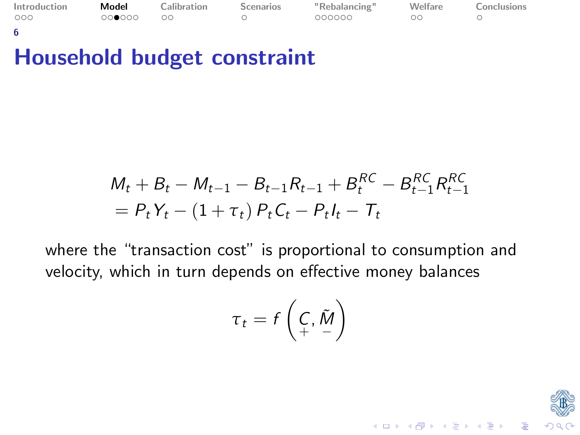| Introduction | Model  | Calibration | <b>Scenarios</b> | "Rebalancing" | Welfare | Conclusions |
|--------------|--------|-------------|------------------|---------------|---------|-------------|
| 000          | 000000 | ററ          |                  | 000000        | ΩC      |             |
|              |        |             |                  |               |         |             |

# Household budget constraint

$$
M_t + B_t - M_{t-1} - B_{t-1}R_{t-1} + B_t^{RC} - B_{t-1}^{RC}R_{t-1}^{RC}
$$
  
=  $P_t Y_t - (1 + \tau_t) P_t C_t - P_t I_t - T_t$ 

where the "transaction cost" is proportional to consumption and velocity, which in turn depends on effective money balances

$$
\tau_t=f\left(\underset{+}{\text{C}},\tilde{\text{M}}\right)
$$



.<br>K □ ▶ K @ ▶ K 할 ▶ K 할 ▶ ... 할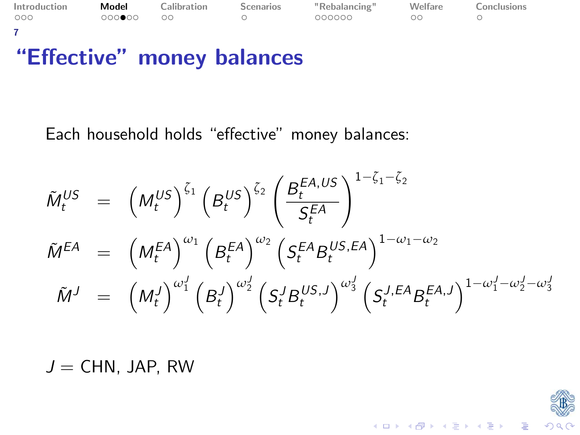| Introduction | Model  | Calibration | <b>Scenarios</b> | "Rebalancing" | Welfare | Conclusions |
|--------------|--------|-------------|------------------|---------------|---------|-------------|
| 000          | 000000 | ററ          |                  | 000000        | ററ      |             |
| -            |        |             |                  |               |         |             |

# "Effective" money balances

Each household holds "effective" money balances:

$$
\tilde{M}_{t}^{US} = (M_{t}^{US})^{\zeta_{1}} (B_{t}^{US})^{\zeta_{2}} (\frac{B_{t}^{EA,US}}{S_{t}^{EA}})^{1-\zeta_{1}-\zeta_{2}} \n\tilde{M}^{EA} = (M_{t}^{EA})^{\omega_{1}} (B_{t}^{EA})^{\omega_{2}} (S_{t}^{EA} B_{t}^{US,EA})^{1-\omega_{1}-\omega_{2}} \n\tilde{M}^{J} = (M_{t}^{J})^{\omega_{1}^{J}} (B_{t}^{J})^{\omega_{2}^{J}} (S_{t}^{J} B_{t}^{US,J})^{\omega_{3}^{J}} (S_{t}^{J,EA} B_{t}^{EA,J})^{1-\omega_{1}^{J}-\omega_{2}^{J}-\omega_{3}^{J}}
$$

 $QQ$ 

 $J =$  CHN, JAP, RW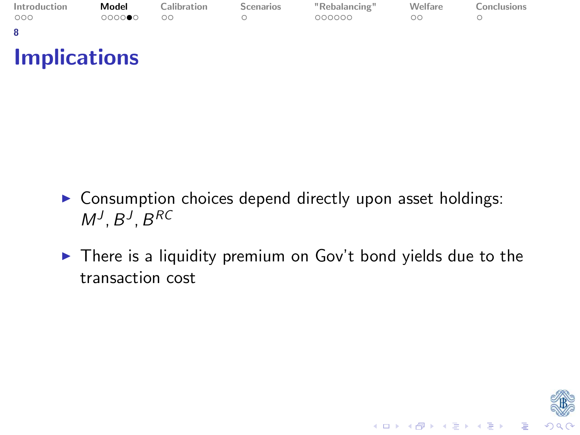| Introduction | Model  | Calibration | <b>Scenarios</b> | "Rebalancing" | Welfare | Conclusions |
|--------------|--------|-------------|------------------|---------------|---------|-------------|
| 000          | 000000 | ΩC          |                  | 000000        | OC.     |             |
| 8            |        |             |                  |               |         |             |

# Implications

- $\triangleright$  Consumption choices depend directly upon asset holdings:  $M^J$ ,  $B^J$ ,  $B^{RC}$
- $\triangleright$  There is a liquidity premium on Gov't bond yields due to the transaction cost

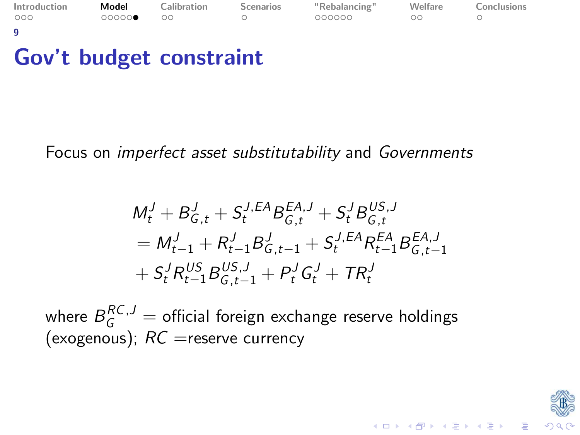| Introduction | Model | Calibration | <b>Scenarios</b> | "Rebalancing" | Welfare | Conclusions |
|--------------|-------|-------------|------------------|---------------|---------|-------------|
| 000          | 00000 | ОC          |                  | 000000        | ററ      |             |
|              |       |             |                  |               |         |             |

# Gov't budget constraint

<span id="page-9-0"></span>Focus on imperfect asset substitutability and Governments

$$
M_t^J + B_{G,t}^J + S_t^{J,EA} B_{G,t}^{EA,J} + S_t^J B_{G,t}^{US,J}
$$
  
=  $M_{t-1}^J + R_{t-1}^J B_{G,t-1}^J + S_t^{J,EA} R_{t-1}^{EA} B_{G,t-1}^{EA,J}$   
+  $S_t^J R_{t-1}^{US} B_{G,t-1}^{US,J} + P_t^J G_t^J + T R_t^J$ 

where  $\mathcal{B}_{\mathcal{G}}^{\mathcal{R}\mathcal{C},J} =$  official foreign exchange reserve holdings (exogenous);  $RC$  = reserve currency

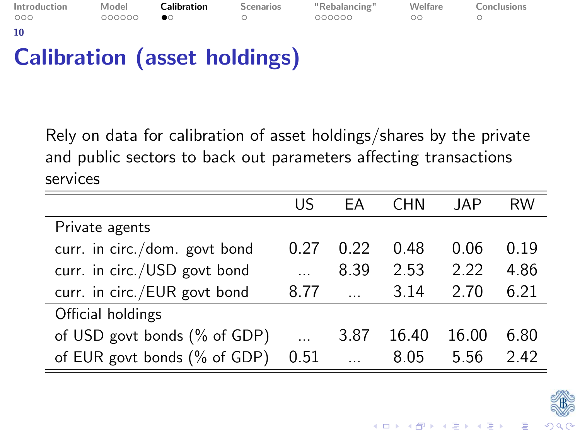| Introduction | Model  | Calibration | <b>Scenarios</b> | "Rebalancing" | Welfare | Conclusions |
|--------------|--------|-------------|------------------|---------------|---------|-------------|
| 000          | 000000 | $\bullet$   |                  | 000000        | ററ      |             |
| 10           |        |             |                  |               |         |             |

# Calibration (asset holdings)

Rely on data for calibration of asset holdings/shares by the private and public sectors to back out parameters affecting transactions services

<span id="page-10-0"></span>

|                               | US        | FA   | <b>CHN</b> | JAP   | <b>RW</b> |
|-------------------------------|-----------|------|------------|-------|-----------|
| Private agents                |           |      |            |       |           |
| curr. in circ./dom. govt bond | በ 27      | 0.22 | 0.48       | 0.06  | 0.19      |
| curr. in circ./USD govt bond  |           | 8.39 | 2.53       | 2.22  | 4.86      |
| curr. in circ./EUR govt bond  | 8.77      |      | 3.14       | 2.70  | 6.21      |
| Official holdings             |           |      |            |       |           |
| of USD govt bonds (% of GDP)  | $\ddotsc$ | 3.87 | 16.40      | 16.00 | 6.80      |
| of EUR govt bonds (% of GDP)  | 0.51      |      | 8.05       | 5.56  | 242       |

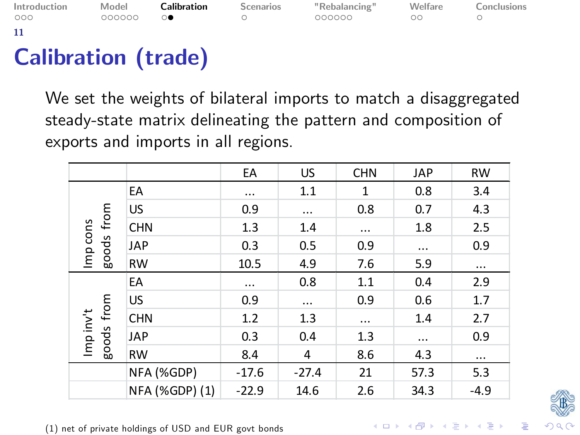| Introduction | Model  | Calibration | <b>Scenarios</b> | "Rebalancing" | Welfare | Conclusions |
|--------------|--------|-------------|------------------|---------------|---------|-------------|
| 000          | 000000 |             |                  | 000000        | ററ      |             |
| -11          |        |             |                  |               |         |             |

# Calibration (trade)

We set the weights of bilateral imports to match a disaggregated steady-state matrix delineating the pattern and composition of exports and imports in all regions.

|                         |                | EA      | US       | <b>CHN</b>   | JAP      | <b>RW</b> |
|-------------------------|----------------|---------|----------|--------------|----------|-----------|
|                         | EA             |         | 1.1      | $\mathbf{1}$ | 0.8      | 3.4       |
| from                    | US             | 0.9     | $\cdots$ | 0.8          | 0.7      | 4.3       |
|                         | <b>CHN</b>     | 1.3     | 1.4      |              | 1.8      | 2.5       |
| Imp cons<br>goods       | <b>JAP</b>     | 0.3     | 0.5      | 0.9          | $\cdots$ | 0.9       |
|                         | <b>RW</b>      | 10.5    | 4.9      | 7.6          | 5.9      | $\cdots$  |
|                         | EA             |         | 0.8      | 1.1          | 0.4      | 2.9       |
|                         | <b>US</b>      | 0.9     | $\cdots$ | 0.9          | 0.6      | 1.7       |
|                         | <b>CHN</b>     | 1.2     | 1.3      |              | 1.4      | 2.7       |
| goods from<br>Imp inv't | <b>JAP</b>     | 0.3     | 0.4      | 1.3          |          | 0.9       |
|                         | <b>RW</b>      | 8.4     | 4        | 8.6          | 4.3      | $\cdots$  |
|                         | NFA (%GDP)     | $-17.6$ | $-27.4$  | 21           | 57.3     | 5.3       |
|                         | NFA (%GDP) (1) | $-22.9$ | 14.6     | 2.6          | 34.3     | $-4.9$    |



(1) net of private holdings of USD and EUR govt bonds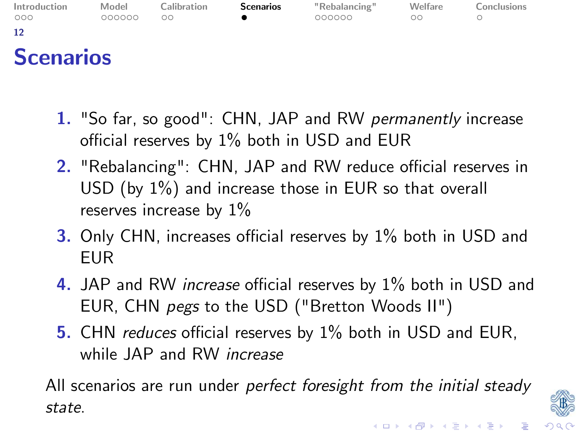| Introduction     | Model  | Calibration | Scenarios | "Rebalancing" | Welfare | Conclusions |  |
|------------------|--------|-------------|-----------|---------------|---------|-------------|--|
| 000              | 000000 | $\circ$     |           | 000000        | OΟ      |             |  |
| 12               |        |             |           |               |         |             |  |
| <b>Scenarios</b> |        |             |           |               |         |             |  |

- 1. "So far, so good": CHN, JAP and RW permanently increase official reserves by  $1\%$  both in USD and EUR
- 2. "Rebalancing": CHN, JAP and RW reduce official reserves in USD (by  $1\%$ ) and increase those in EUR so that overall reserves increase by 1%
- **3.** Only CHN, increases official reserves by  $1\%$  both in USD and EUR
- 4. JAP and RW *increase* official reserves by  $1\%$  both in USD and EUR, CHN pegs to the USD ("Bretton Woods II")
- **5.** CHN reduces official reserves by  $1\%$  both in USD and EUR, while JAP and RW *increase*

<span id="page-12-0"></span>All scenarios are run under *perfect foresight from the initial steady* state.

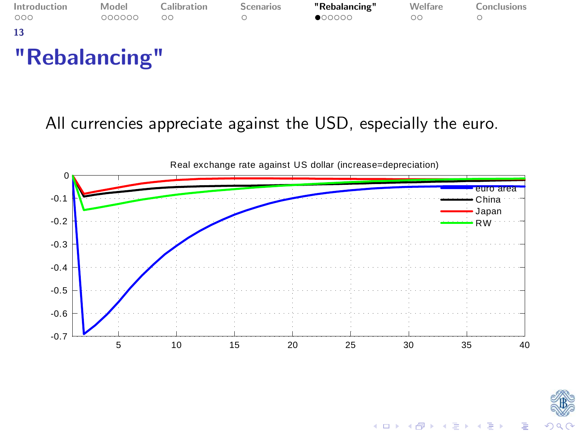| Introduction  | Model  | Calibration | <b>Scenarios</b> | "Rebalancing"   | Welfare | Conclusions |  |  |
|---------------|--------|-------------|------------------|-----------------|---------|-------------|--|--|
| 000           | 000000 | ΩC          |                  | $\bullet$ 00000 | nn      |             |  |  |
| -13           |        |             |                  |                 |         |             |  |  |
| "Rebalancing" |        |             |                  |                 |         |             |  |  |

## All currencies appreciate against the USD, especially the euro.

<span id="page-13-0"></span>



Þ

[e](#page-12-0)[ur](#page-13-0)[o](#page-18-0) [ar](#page-19-0)[ea](#page-0-0)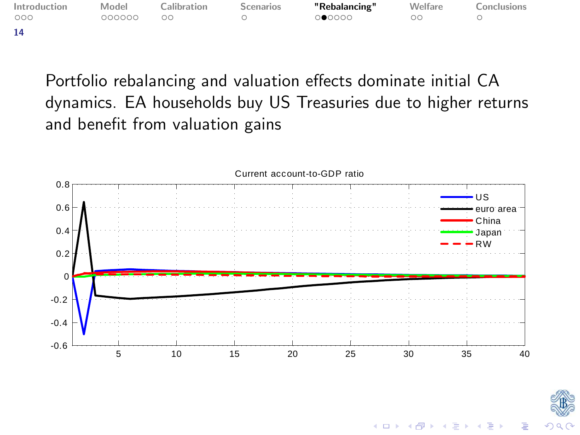| Introduction | Model  | Calibration | Scenarios | "Rebalancing" | Welfare | Conclusions |
|--------------|--------|-------------|-----------|---------------|---------|-------------|
| 000          | 000000 | OС          |           | 00000         | ОC      |             |
| 14           |        |             |           |               |         |             |

Portfolio rebalancing and valuation effects dominate initial CA dynamics. EA households buy US Treasuries due to higher returns and benefit from valuation gains

<span id="page-14-0"></span>

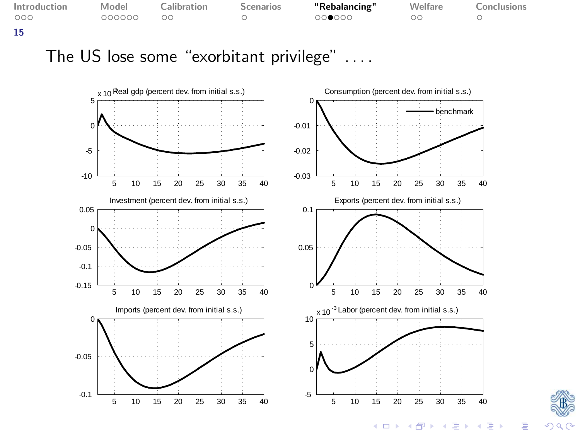| Introduction | Model  | Calibration | <b>Scenarios</b> | "Rebalancing" | Welfare | Conclusions |
|--------------|--------|-------------|------------------|---------------|---------|-------------|
| 000          | 000000 | - ററ        |                  | 000000        | ററ      |             |
| 15           |        |             |                  |               |         |             |

#### The US lose some "exorbitant privilege"  $\dots$

<span id="page-15-0"></span>



È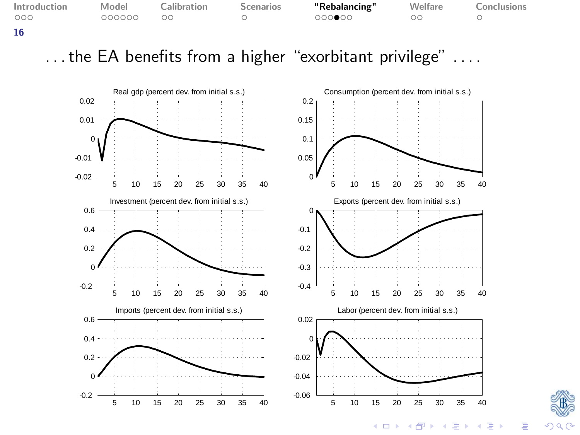| Introduction | Model  | Calibration | <b>Scenarios</b> | "Rebalancing" | Welfare | Conclusions |
|--------------|--------|-------------|------------------|---------------|---------|-------------|
| 000          | 000000 | ററ          |                  | 000000        | nс      |             |
| -16          |        |             |                  |               |         |             |

... the EA benefits from a higher "exorbitant privilege" ....

<span id="page-16-0"></span>



ŧ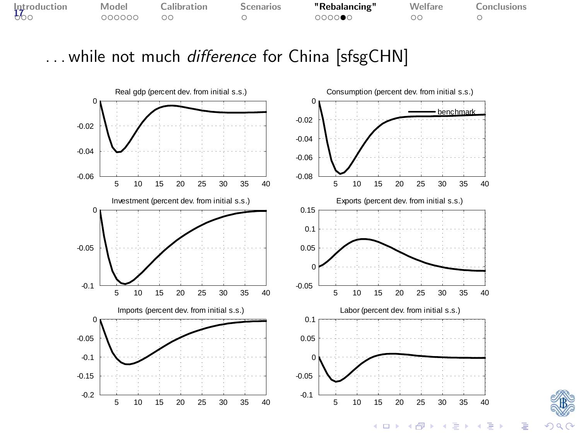

... while not much difference for China [\[sfsgCHN\]](#page-26-0)

<span id="page-17-0"></span>

 $\Omega$ 

ă

 $3$  and  $3$   $3$   $3$   $4$   $5$   $3$   $3$   $4$   $5$   $3$   $3$   $4$   $5$ **In**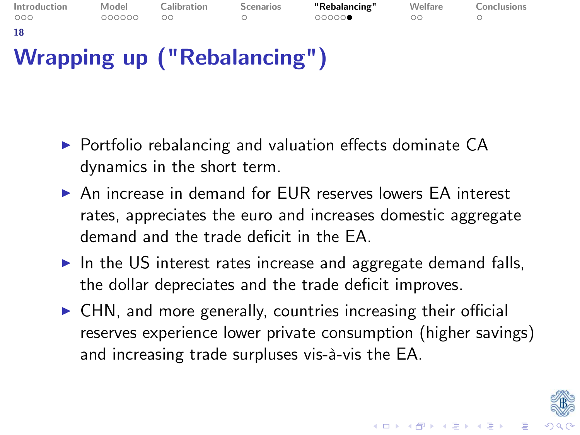| Introduction | Model  | Calibration | Scenarios | "Rebalancing" | Welfare | Conclusions |
|--------------|--------|-------------|-----------|---------------|---------|-------------|
| 000          | 000000 | $\circ$     |           | 00000         | ററ      |             |
| 18           |        |             |           |               |         |             |

# Wrapping up ("Rebalancing")

- $\triangleright$  Portfolio rebalancing and valuation effects dominate CA dynamics in the short term.
- $\triangleright$  An increase in demand for FUR reserves lowers FA interest rates, appreciates the euro and increases domestic aggregate demand and the trade deficit in the FA.
- $\triangleright$  In the US interest rates increase and aggregate demand falls, the dollar depreciates and the trade deficit improves.
- <span id="page-18-0"></span> $\triangleright$  CHN, and more generally, countries increasing their official reserves experience lower private consumption (higher savings) and increasing trade surpluses vis-à-vis the EA.



.<br>K □ X K @ X K 통 X K 통 X - 통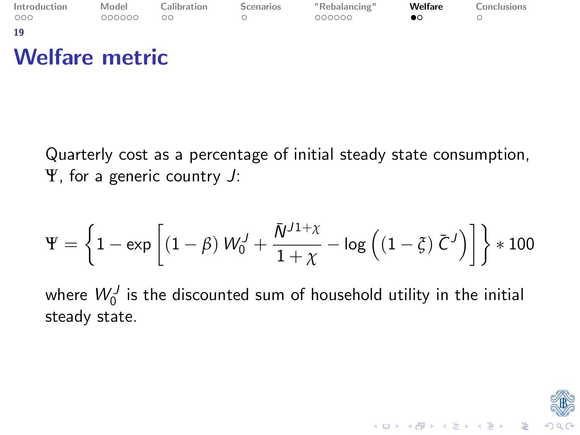| Introduction | Model  | Calibration | Scenarios | "Rebalancing" | Welfare   | Conclusions |
|--------------|--------|-------------|-----------|---------------|-----------|-------------|
| 000          | 000000 | ററ          |           | 000000        | $\bullet$ |             |
| 19           |        |             |           |               |           |             |

## Welfare metric

Quarterly cost as a percentage of initial steady state consumption, Ψ, for a generic country J:

$$
\Psi = \left\{1 - \exp \left[ \left(1 - \beta \right) W_0^J + \frac{\bar{N}^{J1 + \chi}}{1 + \chi} - \log \left( \left(1 - \xi \right) \bar{C}^J \right) \right] \right\} * 100
$$

<span id="page-19-0"></span>where  $W^J_0$  is the discounted sum of household utility in the initial steady state.

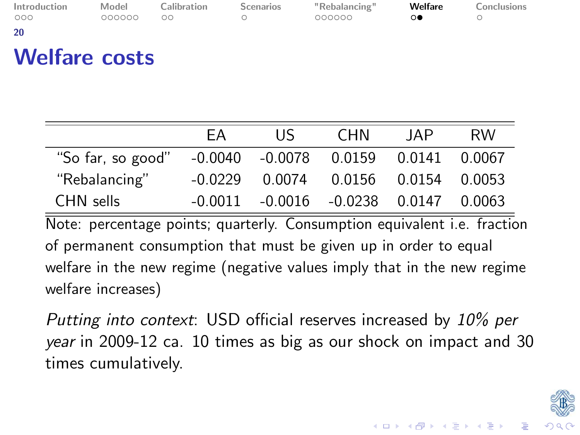| Introduction | Model  | Calibration | <b>Scenarios</b> | "Rebalancing" | Welfare | Conclusions |
|--------------|--------|-------------|------------------|---------------|---------|-------------|
| 000          | 000000 | ററ          |                  | 000000        | റഭ      |             |
| 20           |        |             |                  |               |         |             |

## Welfare costs

|                   | FA      | <b>US</b> | <b>CHN</b>                   | IAP | <b>RW</b> |
|-------------------|---------|-----------|------------------------------|-----|-----------|
| "So far, so good" | -0.0040 |           |                              |     |           |
| "Rebalancing"     | -0.0229 | 0.0074    | 0.0156  0.0154  0.0053       |     |           |
| CHN sells         | -0.0011 |           | $-0.0016$ $-0.0238$ $0.0147$ |     | - 0.0063  |

Note: percentage points; quarterly. Consumption equivalent i.e. fraction of permanent consumption that must be given up in order to equal welfare in the new regime (negative values imply that in the new regime welfare increases)

Putting into context: USD official reserves increased by  $10\%$  per year in 2009-12 ca. 10 times as big as our shock on impact and 30 times cumulatively.

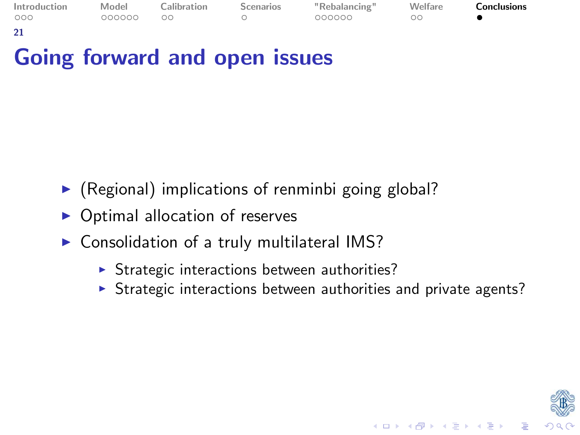| Introduction | Model  | Calibration | <b>Scenarios</b> | "Rebalancing" | Welfare | Conclusions |
|--------------|--------|-------------|------------------|---------------|---------|-------------|
| 000          | 000000 | ററ          |                  | 000000        | oο      |             |
| 21           |        |             |                  |               |         |             |

# Going forward and open issues

- $\triangleright$  (Regional) implications of renminbi going global?
- Optimal allocation of reserves
- <span id="page-21-0"></span> $\triangleright$  Consolidation of a truly multilateral IMS?
	- $\triangleright$  Strategic interactions between authorities?
	- $\triangleright$  Strategic interactions between authorities and private agents?

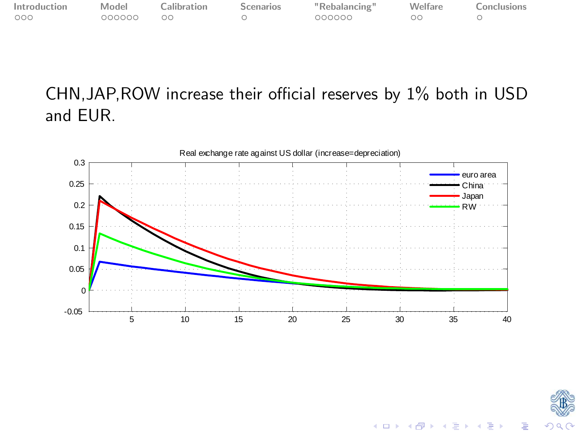[Introduction](#page-2-0) [Model](#page-4-0) [Calibration](#page-10-0) [Scenarios](#page-12-0) ["Rebalancing"](#page-13-0) [Welfare](#page-19-0) [Conclusions](#page-21-0)

 $A \Box B$   $A \Box B$   $A \Box B$   $A \Box B$   $A \Box B$   $A$ 

## CHN, JAP, ROW increase their official reserves by  $1\%$  both in USD and EUR.

<span id="page-22-0"></span>



È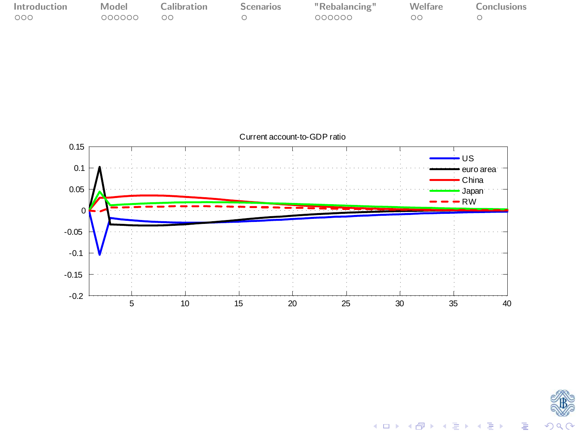

<span id="page-23-0"></span>



È

イロト 不優 ト 不重 ト 不重 ト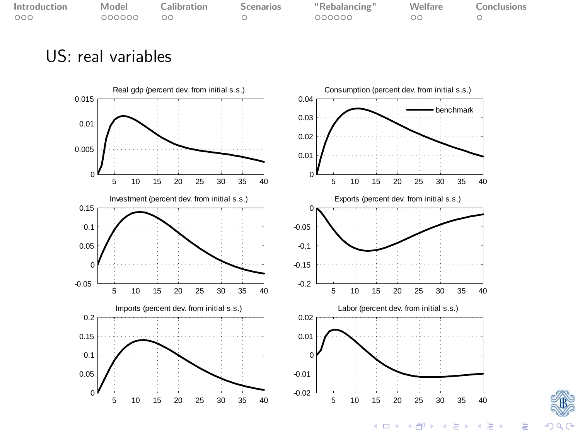| Introduction | Model  | Calibration | <b>Scenarios</b> | "Rebalancing" | Welfare | Conclusions |
|--------------|--------|-------------|------------------|---------------|---------|-------------|
| 000          | 000000 | ററ          |                  | 000000        |         |             |

#### US: real variables

<span id="page-24-0"></span>



ŧ

 $10 \times 10^5 \times 10^5$  $\Rightarrow$ ×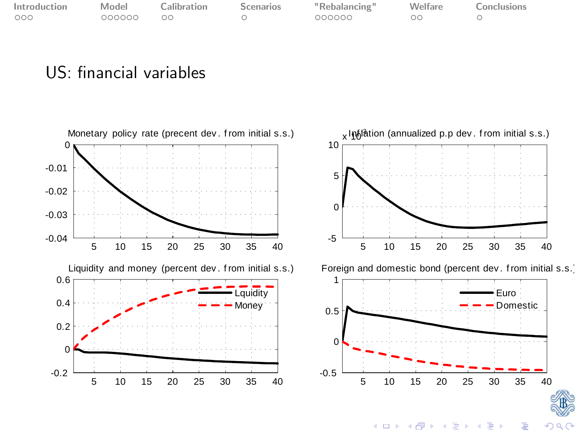| Introduction | Model  | Calibration | Scenarios | "Rebalancing" | Welfare | Conclusions |
|--------------|--------|-------------|-----------|---------------|---------|-------------|
| 000          | 000000 | ОC          |           | 000000        | ОC      |             |

#### US: financial variables  $\ddot{\phantom{0}}$

<span id="page-25-0"></span>

 $4$  ロ )  $4$   $\overline{r}$  )  $4$   $\overline{z}$  )  $4$   $\overline{z}$  )

ŧ

 $\Omega$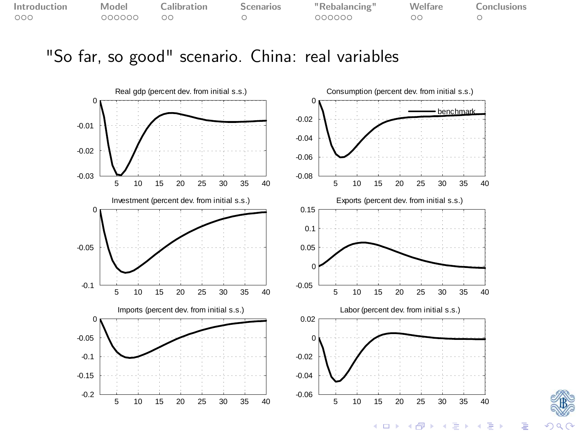| Introduction | Model  | Calibration | <b>Scenarios</b> | "Rebalancing" | Welfare | Conclusions |
|--------------|--------|-------------|------------------|---------------|---------|-------------|
| 000          | 000000 | ററ          |                  | 000000        |         |             |
|              |        |             |                  |               |         |             |

#### <span id="page-26-0"></span>"So far, so good" scenario. China: real variables

<span id="page-26-1"></span>

 $\Omega$ 

È

 $3$  and  $3$   $3$   $3$   $4$   $7$   $8$   $9$   $9$   $1$   $3$   $1$   $3$   $1$   $3$   $1$   $3$   $1$   $3$   $1$   $3$   $1$   $3$   $1$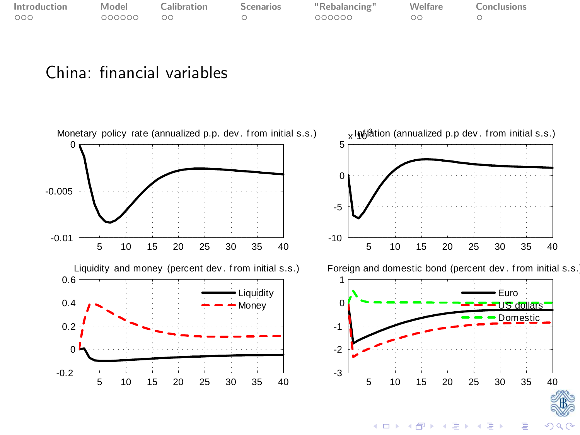| Introduction | Model  | Calibration | Scenarios | "Rebalancing" | Welfare | Conclusions |
|--------------|--------|-------------|-----------|---------------|---------|-------------|
| 000          | 000000 | oс          |           | 000000        | nс      |             |

## China: financial variables

<span id="page-27-0"></span>

 $4$  ロ )  $4$   $\overline{r}$  )  $4$   $\overline{z}$  )  $4$   $\overline{z}$  )

Þ

 $\Omega$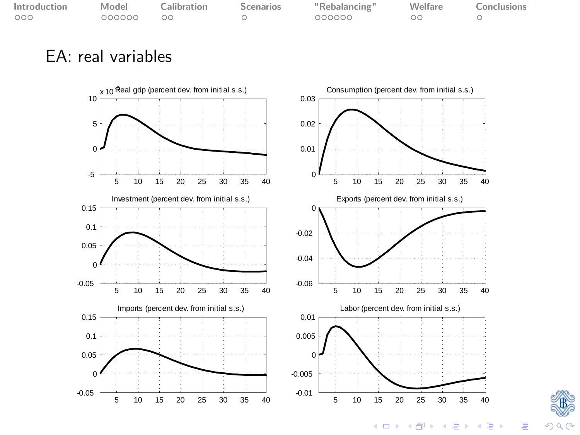| Introduction | Model  | Calibration | <b>Scenarios</b> | "Rebalancing" | Welfare | Conclusions |
|--------------|--------|-------------|------------------|---------------|---------|-------------|
| 000          | 000000 |             |                  | 000000        |         |             |

### EA: real variables

<span id="page-28-0"></span>



ŧ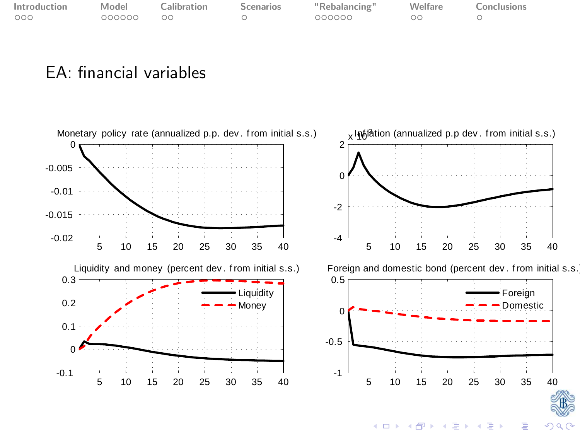| Introduction | Model  | Calibration | Scenarios | "Rebalancing" | Welfare | Conclusions |
|--------------|--------|-------------|-----------|---------------|---------|-------------|
| 000          | 000000 | oс          |           | 000000        |         |             |

### $FA$ : financial variables

<span id="page-29-0"></span>

**KOX KARY KEY** 

 $\equiv$ 

 $\sim$  41

ŧ

 $\Omega$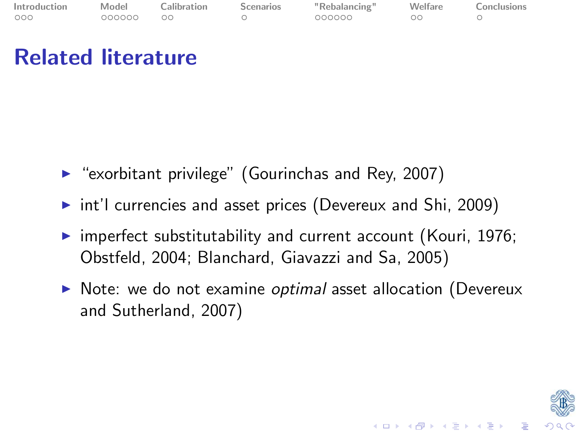| Introduction | Model  | Calibration | Scenarios | "Rebalancing" | Welfare | Conclusions |
|--------------|--------|-------------|-----------|---------------|---------|-------------|
| 000.         | 000000 | nn          |           | 000000        | nc      |             |

# **Related literature**

- $\triangleright$  "exorbitant privilege" (Gourinchas and Rey, 2007)
- int'l currencies and asset prices (Devereux and Shi, 2009)
- $\triangleright$  imperfect substitutability and current account (Kouri, 1976; Obstfeld, 2004; Blanchard, Giavazzi and Sa, 2005)
- ▶ Note: we do not examine *optimal* asset allocation (Devereux and Sutherland, 2007)

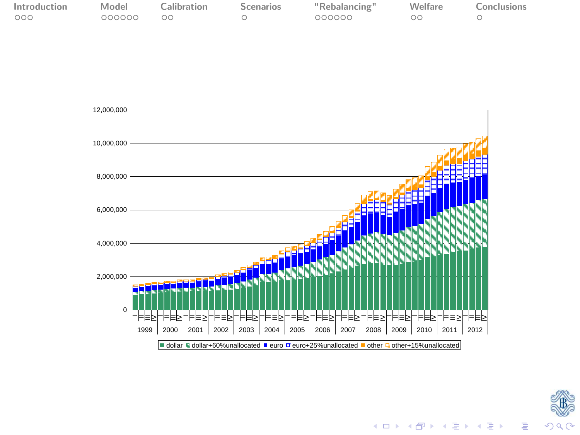| Introduction | Model  | Calibration | <b>Scenarios</b> | "Rebalancing" | Welfare | Conclusions |
|--------------|--------|-------------|------------------|---------------|---------|-------------|
| 000          | 000000 | ററ          |                  | 000000        | ററ      |             |
|              |        |             |                  |               |         |             |

<span id="page-31-0"></span>



È

イロト 不優 ト 不重 ト 不重 ト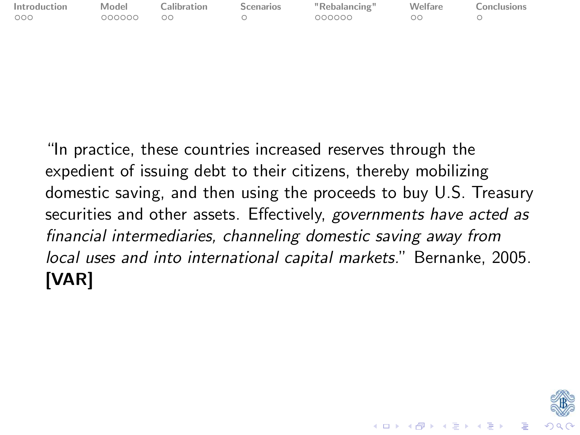| Introduction | Model  | Calibration | Scenarios | "Rebalancing" | Welfare | Conclusions |
|--------------|--------|-------------|-----------|---------------|---------|-------------|
| 000          | 000000 | $\circ$     |           | 000000        | $\circ$ |             |
|              |        |             |           |               |         |             |
|              |        |             |           |               |         |             |

"In practice, these countries increased reserves through the expedient of issuing debt to their citizens, thereby mobilizing domestic saving, and then using the proceeds to buy U.S. Treasury securities and other assets. Effectively, governments have acted as financial intermediaries, channeling domestic saving away from local uses and into international capital markets." Bernanke, 2005. [VAR]